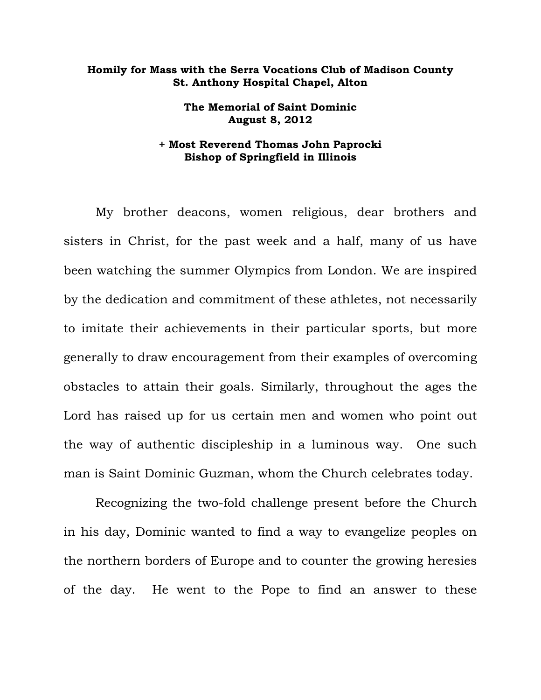## **Homily for Mass with the Serra Vocations Club of Madison County St. Anthony Hospital Chapel, Alton**

**The Memorial of Saint Dominic August 8, 2012** 

## **+ Most Reverend Thomas John Paprocki Bishop of Springfield in Illinois**

My brother deacons, women religious, dear brothers and sisters in Christ, for the past week and a half, many of us have been watching the summer Olympics from London. We are inspired by the dedication and commitment of these athletes, not necessarily to imitate their achievements in their particular sports, but more generally to draw encouragement from their examples of overcoming obstacles to attain their goals. Similarly, throughout the ages the Lord has raised up for us certain men and women who point out the way of authentic discipleship in a luminous way. One such man is Saint Dominic Guzman, whom the Church celebrates today.

Recognizing the two-fold challenge present before the Church in his day, Dominic wanted to find a way to evangelize peoples on the northern borders of Europe and to counter the growing heresies of the day. He went to the Pope to find an answer to these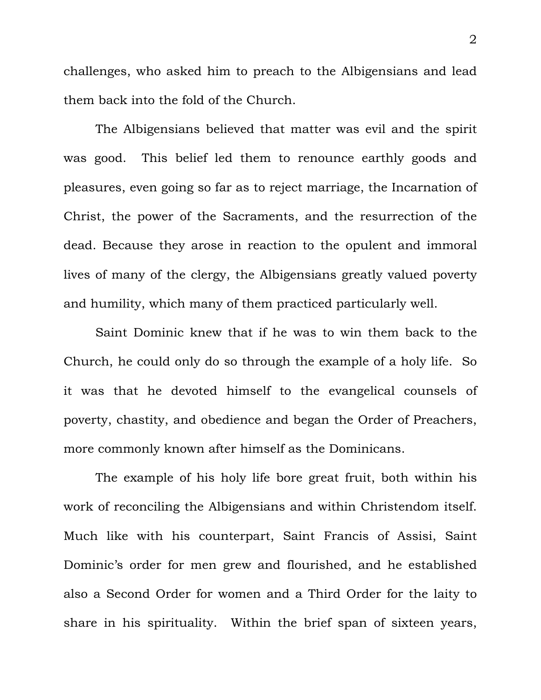challenges, who asked him to preach to the Albigensians and lead them back into the fold of the Church.

The Albigensians believed that matter was evil and the spirit was good. This belief led them to renounce earthly goods and pleasures, even going so far as to reject marriage, the Incarnation of Christ, the power of the Sacraments, and the resurrection of the dead. Because they arose in reaction to the opulent and immoral lives of many of the clergy, the Albigensians greatly valued poverty and humility, which many of them practiced particularly well.

Saint Dominic knew that if he was to win them back to the Church, he could only do so through the example of a holy life. So it was that he devoted himself to the evangelical counsels of poverty, chastity, and obedience and began the Order of Preachers, more commonly known after himself as the Dominicans.

The example of his holy life bore great fruit, both within his work of reconciling the Albigensians and within Christendom itself. Much like with his counterpart, Saint Francis of Assisi, Saint Dominic's order for men grew and flourished, and he established also a Second Order for women and a Third Order for the laity to share in his spirituality. Within the brief span of sixteen years,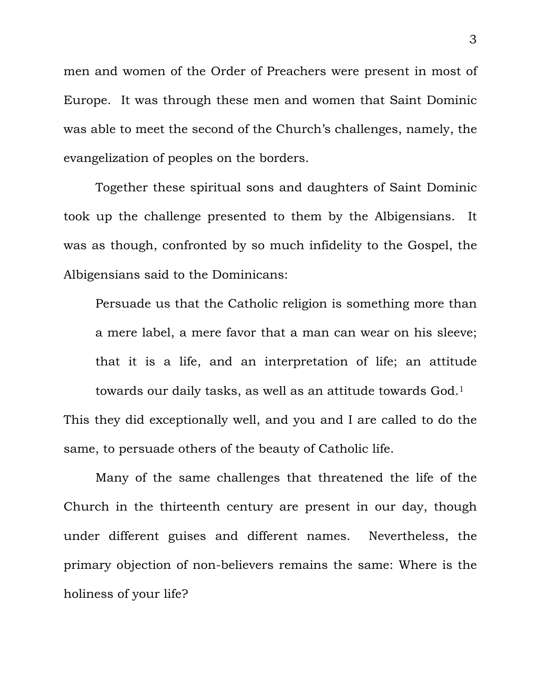men and women of the Order of Preachers were present in most of Europe. It was through these men and women that Saint Dominic was able to meet the second of the Church's challenges, namely, the evangelization of peoples on the borders.

Together these spiritual sons and daughters of Saint Dominic took up the challenge presented to them by the Albigensians. It was as though, confronted by so much infidelity to the Gospel, the Albigensians said to the Dominicans:

Persuade us that the Catholic religion is something more than a mere label, a mere favor that a man can wear on his sleeve; that it is a life, and an interpretation of life; an attitude towards our daily tasks, as well as an attitude towards God.1 This they did exceptionally well, and you and I are called to do the same, to persuade others of the beauty of Catholic life.

 Many of the same challenges that threatened the life of the Church in the thirteenth century are present in our day, though under different guises and different names. Nevertheless, the primary objection of non-believers remains the same: Where is the holiness of your life?